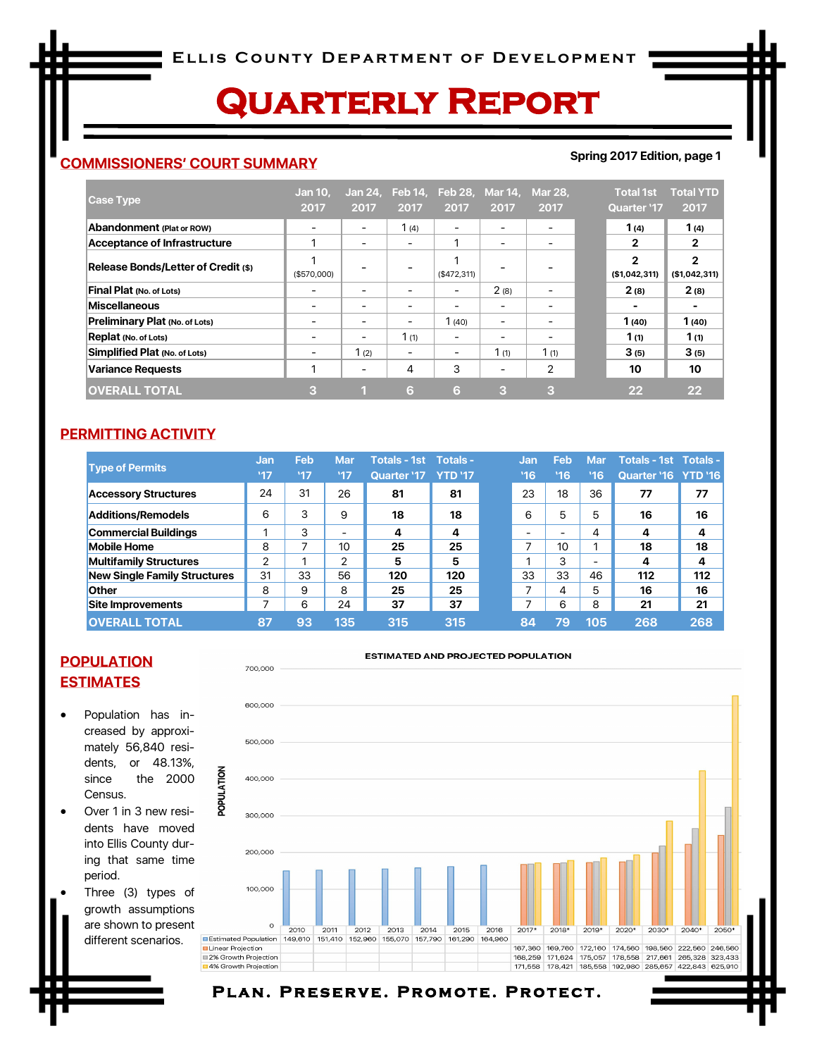# **Quarterly Report**

## **COMMISSIONERS' COURT SUMMARY**

#### **Spring 2017 Edition, page 1**

| <b>Case Type</b>                      | <b>Jan 10.</b><br>2017   | 2017                     | Jan 24, Feb 14,<br>2017 | <b>Feb 28,</b><br>2017   | Mar 14,<br>2017          | <b>Mar 28,</b><br>2017   | <b>Total 1st</b><br><b>Quarter '17</b> | <b>Total YTD</b><br>2017      |
|---------------------------------------|--------------------------|--------------------------|-------------------------|--------------------------|--------------------------|--------------------------|----------------------------------------|-------------------------------|
| Abandonment (Plat or ROW)             |                          |                          | 1(4)                    |                          |                          |                          | 1 $(4)$                                | 1(4)                          |
| Acceptance of Infrastructure          |                          | $\overline{\phantom{a}}$ | $\qquad \qquad$         | ٠                        | -                        | -                        | 2                                      | $\mathbf{2}$                  |
| Release Bonds/Letter of Credit (\$)   | (\$570,000)              |                          |                         | (\$472,311)              |                          |                          | $\mathbf{2}$<br>(\$1,042,311)          | $\mathbf{2}$<br>(\$1,042,311) |
| Final Plat (No. of Lots)              |                          | $\qquad \qquad$          | -                       | $\overline{\phantom{0}}$ | 2(8)                     | $\overline{\phantom{a}}$ | 2(8)                                   | 2(8)                          |
| Miscellaneous                         |                          |                          |                         | -                        | ۰                        |                          | -                                      |                               |
| <b>Preliminary Plat (No. of Lots)</b> |                          |                          |                         | 1(40)                    | $\overline{\phantom{0}}$ |                          | 1(40)                                  | 1(40)                         |
| Replat (No. of Lots)                  | $\overline{\phantom{0}}$ |                          | 1(1)                    | -                        | -                        | -                        | 1 (1)                                  | 1 (1)                         |
| Simplified Plat (No. of Lots)         |                          | 1(2)                     | -                       | -                        | 1(1)                     | 1(1)                     | 3(5)                                   | 3(5)                          |
| <b>Variance Requests</b>              |                          | $\overline{\phantom{a}}$ | 4                       | 3                        | -                        | 2                        | 10                                     | 10                            |
| <b>OVERALL TOTAL</b>                  | з                        |                          | 6                       | 6                        | 3                        | 3                        | 22                                     | $22 \overline{)}$             |

### **PERMITTING ACTIVITY**

|                               | Jan | Feb | <b>Mar</b>    | <b>Totals - 1st</b> | Totals -       | Jan            | Feb | <b>Mar</b>               | <b>Totals - 1st Totals -</b> |     |
|-------------------------------|-----|-----|---------------|---------------------|----------------|----------------|-----|--------------------------|------------------------------|-----|
| <b>Type of Permits</b>        | '17 | '17 | '17           | Quarter '17         | <b>YTD '17</b> | '16            | '16 | 16                       | <b>Quarter '16 YTD '16</b>   |     |
| <b>Accessory Structures</b>   | 24  | 31  | 26            | 81                  | 81             | 23             | 18  | 36                       | 77                           | 77  |
| Additions/Remodels            | 6   | 3   | 9             | 18                  | 18             | 6              | 5   | 5                        | 16                           | 16  |
| <b>Commercial Buildings</b>   |     | 3   | -             | 4                   | 4              |                | -   | 4                        | 4                            | 4   |
| <b>Mobile Home</b>            | 8   | ⇁   | 10            | 25                  | 25             | -              | 10  |                          | 18                           | 18  |
| <b>Multifamily Structures</b> | ⌒   |     | $\mathcal{P}$ | 5                   | 5              | $\overline{ }$ | 3   | $\overline{\phantom{0}}$ | 4                            | 4   |
| New Single Family Structures  | 31  | 33  | 56            | 120                 | 120            | 33             | 33  | 46                       | 112                          | 112 |
| <b>Other</b>                  | 8   | 9   | 8             | 25                  | 25             | ⇁              | 4   | 5                        | 16                           | 16  |
| Site Improvements             |     | 6   | 24            | 37                  | 37             | ⇁              | 6   | 8                        | 21                           | 21  |
| <b>OVERALL TOTAL</b>          | 87  | 93  | 135           | 315                 | 315            | 84             | 79  | 105                      | 268                          | 268 |

## **POPULATION ESTIMATES**

 Population has increased by approximately 56,840 residents, or 48.13%, since the 2000 Census.

700,000

POPULATION

- Over 1 in 3 new residents have moved into Ellis County during that same time period.
- Three (3) types of growth assumptions are shown to present different scenarios.



ESTIMATED AND PROJECTED POPULATION

#### PLAN. PRESERVE. PROMOTE. PROTECT.